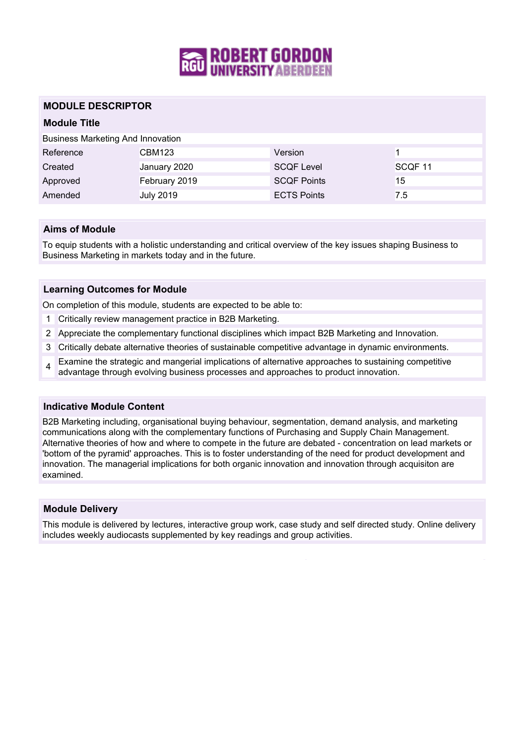

### **MODULE DESCRIPTOR**

## **Module Title**

| <b>Business Marketing And Innovation</b> |                  |                    |                    |
|------------------------------------------|------------------|--------------------|--------------------|
| Reference                                | CBM123           | Version            |                    |
| Created                                  | January 2020     | <b>SCQF Level</b>  | SCQF <sub>11</sub> |
| Approved                                 | February 2019    | <b>SCQF Points</b> | 15                 |
| Amended                                  | <b>July 2019</b> | <b>ECTS Points</b> | 7.5                |

### **Aims of Module**

To equip students with a holistic understanding and critical overview of the key issues shaping Business to Business Marketing in markets today and in the future.

#### **Learning Outcomes for Module**

On completion of this module, students are expected to be able to:

- 1 Critically review management practice in B2B Marketing.
- 2 Appreciate the complementary functional disciplines which impact B2B Marketing and Innovation.
- 3 Critically debate alternative theories of sustainable competitive advantage in dynamic environments.
- 4 Examine the strategic and mangerial implications of alternative approaches to sustaining competitive advantage through evolving business processes and approaches to product innovation.

#### **Indicative Module Content**

B2B Marketing including, organisational buying behaviour, segmentation, demand analysis, and marketing communications along with the complementary functions of Purchasing and Supply Chain Management. Alternative theories of how and where to compete in the future are debated - concentration on lead markets or 'bottom of the pyramid' approaches. This is to foster understanding of the need for product development and innovation. The managerial implications for both organic innovation and innovation through acquisiton are examined.

#### **Module Delivery**

This module is delivered by lectures, interactive group work, case study and self directed study. Online delivery includes weekly audiocasts supplemented by key readings and group activities.